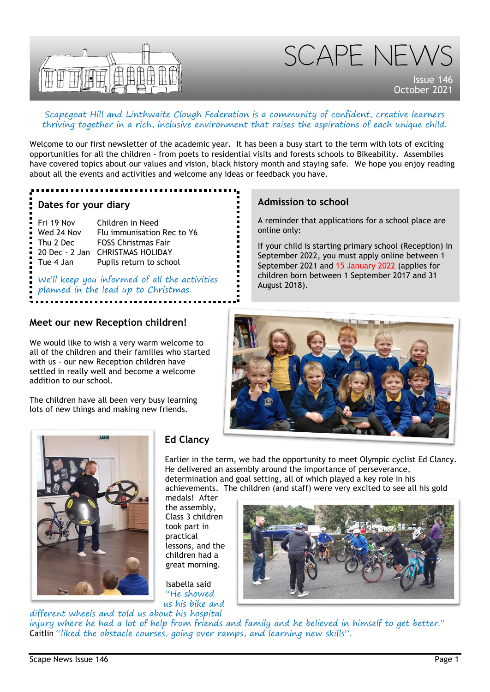

# SCAPE NEW

Issue 146 October 202

#### Scapegoat Hill and Linthwaite Clough Federation is a community of confident, creative learners thriving together in a rich, inclusive environment that raises the aspirations of each unique child.

Welcome to our first newsletter of the academic year. It has been a busy start to the term with lots of exciting opportunities for all the children - from poets to residential visits and forests schools to Bikeability. Assemblies have covered topics about our values and vision, black history month and staying safe. We hope you enjoy reading about all the events and activities and welcome any ideas or feedback you have.

#### **Dates for your diary**

| Fri 19 Nov  | Children in Need                 |
|-------------|----------------------------------|
| Wed 24 Nov  | Flu immunisation Rec to Y6       |
| Thu 2 Dec   | <b>FOSS Christmas Fair</b>       |
|             | 20 Dec - 2 Jan CHRISTMAS HOLIDAY |
| ■ Tue 4 Jan | Pupils return to school          |

We'll keep you informed of all the activities planned in the lead up to Christmas.

# **Admission to school**

A reminder that applications for a school place are online only:

If your child is starting primary school (Reception) in September 2022, you must apply online between 1 September 2021 and 15 January 2022 (applies for children born between 1 September 2017 and 31 August 2018).

# **Meet our new Reception children!**

We would like to wish a very warm welcome to all of the children and their families who started with us - our new Reception children have settled in really well and become a welcome addition to our school.

The children have all been very busy learning lots of new things and making new friends.





# **Ed Clancy**

Earlier in the term, we had the opportunity to meet Olympic cyclist Ed Clancy. He delivered an assembly around the importance of perseverance, determination and goal setting, all of which played a key role in his achievements. The children (and staff) were very excited to see all his gold

medals! After the assembly, Class 3 children took part in practical lessons, and the children had a great morning.

Isabella said "He showed us his bike and



different wheels and told us about his hospital injury where he had a lot of help from friends and family and he believed in himself to get better." Caitlin "liked the obstacle courses, going over ramps, and learning new skills".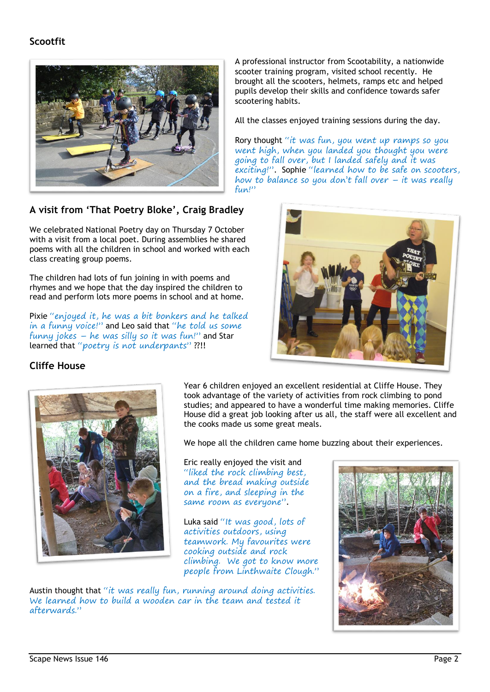# **Scootfit**



# **A visit from 'That Poetry Bloke', Craig Bradley**

We celebrated National Poetry day on Thursday 7 October with a visit from a local poet. During assemblies he shared poems with all the children in school and worked with each class creating group poems.

The children had lots of fun joining in with poems and rhymes and we hope that the day inspired the children to read and perform lots more poems in school and at home.

Pixie "enjoyed it, he was a bit bonkers and he talked in a funny voice!" and Leo said that "he told us some funny jokes – he was silly so it was fun!" and Star learned that "poetry is not underpants"??!!

A professional instructor from Scootability, a nationwide scooter training program, visited school recently. He brought all the scooters, helmets, ramps etc and helped pupils develop their skills and confidence towards safer scootering habits.

All the classes enjoyed training sessions during the day.

Rory thought "it was fun, you went up ramps so you went high, when you landed you thought you were going to fall over, but I landed safely and it was exciting!". Sophie "learned how to be safe on scooters, how to balance so you don't fall over – it was really fun!"



### **Cliffe House**



Year 6 children enjoyed an excellent residential at Cliffe House. They took advantage of the variety of activities from rock climbing to pond studies; and appeared to have a wonderful time making memories. Cliffe House did a great job looking after us all, the staff were all excellent and the cooks made us some great meals.

We hope all the children came home buzzing about their experiences.

Eric really enjoyed the visit and "liked the rock climbing best, and the bread making outside on a fire, and sleeping in the same room as everyone".

Luka said "It was good, lots of activities outdoors, using teamwork. My favourites were cooking outside and rock climbing. We got to know more people from Linthwaite Clough."

Austin thought that "it was really fun, running around doing activities. We learned how to build a wooden car in the team and tested it afterwards."